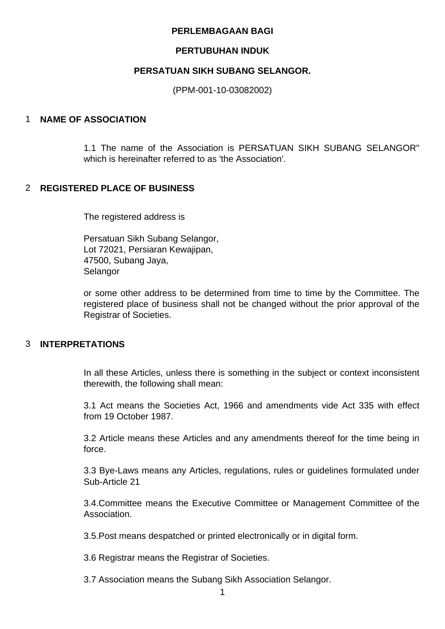#### **PERLEMBAGAAN BAGI**

#### **PERTUBUHAN INDUK**

### **PERSATUAN SIKH SUBANG SELANGOR.**

(PPM-001-10-03082002)

### 1 **NAME OF ASSOCIATION**

1.1 The name of the Association is PERSATUAN SIKH SUBANG SELANGOR" which is hereinafter referred to as 'the Association'.

### 2 **REGISTERED PLACE OF BUSINESS**

The registered address is

Persatuan Sikh Subang Selangor, Lot 72021, Persiaran Kewajipan, 47500, Subang Jaya, Selangor

or some other address to be determined from time to time by the Committee. The registered place of business shall not be changed without the prior approval of the Registrar of Societies.

### 3 **INTERPRETATIONS**

In all these Articles, unless there is something in the subject or context inconsistent therewith, the following shall mean:

3.1 Act means the Societies Act, 1966 and amendments vide Act 335 with effect from 19 October 1987.

3.2 Article means these Articles and any amendments thereof for the time being in force.

3.3 Bye-Laws means any Articles, regulations, rules or guidelines formulated under Sub-Article 21

3.4.Committee means the Executive Committee or Management Committee of the Association.

3.5.Post means despatched or printed electronically or in digital form.

3.6 Registrar means the Registrar of Societies.

3.7 Association means the Subang Sikh Association Selangor.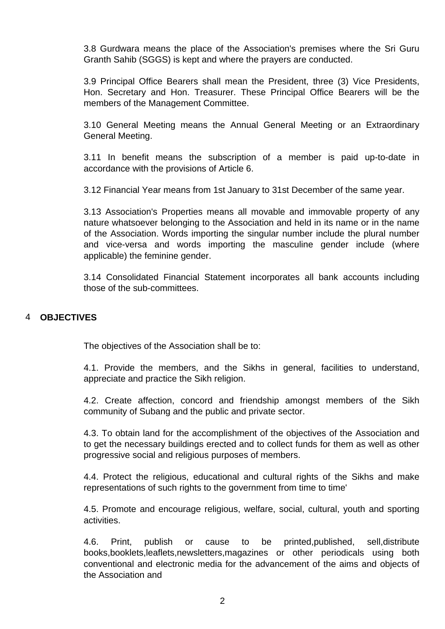3.8 Gurdwara means the place of the Association's premises where the Sri Guru Granth Sahib (SGGS) is kept and where the prayers are conducted.

3.9 Principal Office Bearers shall mean the President, three (3) Vice Presidents, Hon. Secretary and Hon. Treasurer. These Principal Office Bearers will be the members of the Management Committee.

3.10 General Meeting means the Annual General Meeting or an Extraordinary General Meeting.

3.11 In benefit means the subscription of a member is paid up-to-date in accordance with the provisions of Article 6.

3.12 Financial Year means from 1st January to 31st December of the same year.

3.13 Association's Properties means all movable and immovable property of any nature whatsoever belonging to the Association and held in its name or in the name of the Association. Words importing the singular number include the plural number and vice-versa and words importing the masculine gender include (where applicable) the feminine gender.

3.14 Consolidated Financial Statement incorporates all bank accounts including those of the sub-committees.

### 4 **OBJECTIVES**

The objectives of the Association shall be to:

4.1. Provide the members, and the Sikhs in general, facilities to understand, appreciate and practice the Sikh religion.

4.2. Create affection, concord and friendship amongst members of the Sikh community of Subang and the public and private sector.

4.3. To obtain land for the accomplishment of the objectives of the Association and to get the necessary buildings erected and to collect funds for them as well as other progressive social and religious purposes of members.

4.4. Protect the religious, educational and cultural rights of the Sikhs and make representations of such rights to the government from time to time'

4.5. Promote and encourage religious, welfare, social, cultural, youth and sporting activities.

4.6. Print, publish or cause to be printed,published, sell,distribute books,booklets,leaflets,newsletters,magazines or other periodicals using both conventional and electronic media for the advancement of the aims and objects of the Association and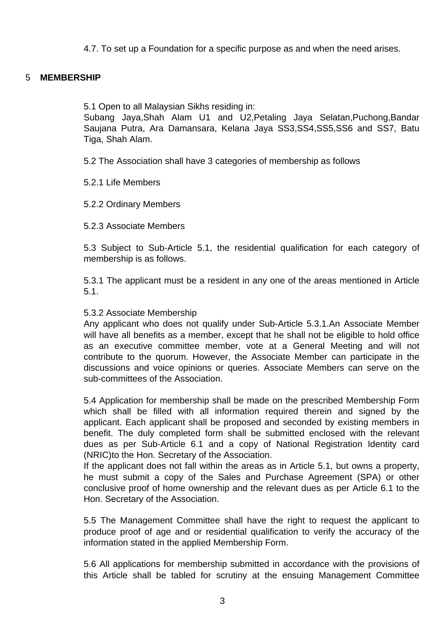4.7. To set up a Foundation for a specific purpose as and when the need arises.

### 5 **MEMBERSHIP**

5.1 Open to all Malaysian Sikhs residing in:

Subang Jaya,Shah Alam U1 and U2,Petaling Jaya Selatan,Puchong,Bandar Saujana Putra, Ara Damansara, Kelana Jaya SS3,SS4,SS5,SS6 and SS7, Batu Tiga, Shah Alam.

5.2 The Association shall have 3 categories of membership as follows

5.2.1 Life Members

5.2.2 Ordinary Members

5.2.3 Associate Members

5.3 Subject to Sub-Article 5.1, the residential qualification for each category of membership is as follows.

5.3.1 The applicant must be a resident in any one of the areas mentioned in Article 5.1.

### 5.3.2 Associate Membership

Any applicant who does not qualify under Sub-Article 5.3.1.An Associate Member will have all benefits as a member, except that he shall not be eligible to hold office as an executive committee member, vote at a General Meeting and will not contribute to the quorum. However, the Associate Member can participate in the discussions and voice opinions or queries. Associate Members can serve on the sub-committees of the Association.

5.4 Application for membership shall be made on the prescribed Membership Form which shall be filled with all information required therein and signed by the applicant. Each applicant shall be proposed and seconded by existing members in benefit. The duly completed form shall be submitted enclosed with the relevant dues as per Sub-Article 6.1 and a copy of National Registration Identity card (NRIC)to the Hon. Secretary of the Association.

If the applicant does not fall within the areas as in Article 5.1, but owns a property, he must submit a copy of the Sales and Purchase Agreement (SPA) or other conclusive proof of home ownership and the relevant dues as per Article 6.1 to the Hon. Secretary of the Association.

5.5 The Management Committee shall have the right to request the applicant to produce proof of age and or residential qualification to verify the accuracy of the information stated in the applied Membership Form.

5.6 All applications for membership submitted in accordance with the provisions of this Article shall be tabled for scrutiny at the ensuing Management Committee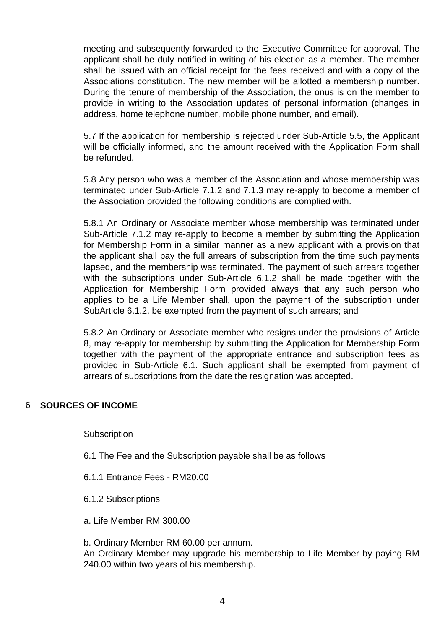meeting and subsequently forwarded to the Executive Committee for approval. The applicant shall be duly notified in writing of his election as a member. The member shall be issued with an official receipt for the fees received and with a copy of the Associations constitution. The new member will be allotted a membership number. During the tenure of membership of the Association, the onus is on the member to provide in writing to the Association updates of personal information (changes in address, home telephone number, mobile phone number, and email).

5.7 If the application for membership is rejected under Sub-Article 5.5, the Applicant will be officially informed, and the amount received with the Application Form shall be refunded.

5.8 Any person who was a member of the Association and whose membership was terminated under Sub-Article 7.1.2 and 7.1.3 may re-apply to become a member of the Association provided the following conditions are complied with.

5.8.1 An Ordinary or Associate member whose membership was terminated under Sub-Article 7.1.2 may re-apply to become a member by submitting the Application for Membership Form in a similar manner as a new applicant with a provision that the applicant shall pay the full arrears of subscription from the time such payments lapsed, and the membership was terminated. The payment of such arrears together with the subscriptions under Sub-Article 6.1.2 shall be made together with the Application for Membership Form provided always that any such person who applies to be a Life Member shall, upon the payment of the subscription under SubArticle 6.1.2, be exempted from the payment of such arrears; and

5.8.2 An Ordinary or Associate member who resigns under the provisions of Article 8, may re-apply for membership by submitting the Application for Membership Form together with the payment of the appropriate entrance and subscription fees as provided in Sub-Article 6.1. Such applicant shall be exempted from payment of arrears of subscriptions from the date the resignation was accepted.

### 6 **SOURCES OF INCOME**

**Subscription** 

- 6.1 The Fee and the Subscription payable shall be as follows
- 6.1.1 Entrance Fees RM20.00
- 6.1.2 Subscriptions
- a. Life Member RM 300.00

b. Ordinary Member RM 60.00 per annum.

An Ordinary Member may upgrade his membership to Life Member by paying RM 240.00 within two years of his membership.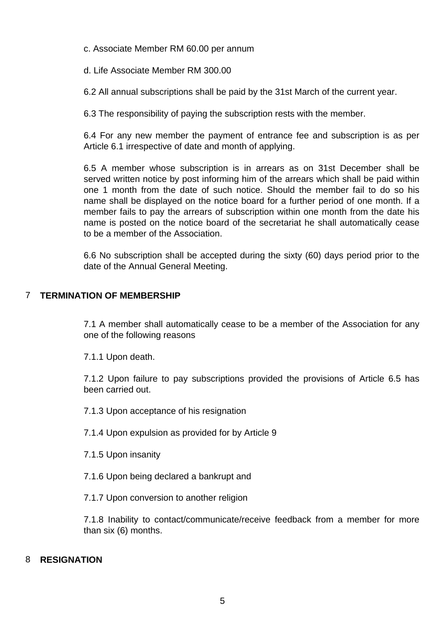c. Associate Member RM 60.00 per annum

d. Life Associate Member RM 300.00

6.2 All annual subscriptions shall be paid by the 31st March of the current year.

6.3 The responsibility of paying the subscription rests with the member.

6.4 For any new member the payment of entrance fee and subscription is as per Article 6.1 irrespective of date and month of applying.

6.5 A member whose subscription is in arrears as on 31st December shall be served written notice by post informing him of the arrears which shall be paid within one 1 month from the date of such notice. Should the member fail to do so his name shall be displayed on the notice board for a further period of one month. If a member fails to pay the arrears of subscription within one month from the date his name is posted on the notice board of the secretariat he shall automatically cease to be a member of the Association.

6.6 No subscription shall be accepted during the sixty (60) days period prior to the date of the Annual General Meeting.

# 7 **TERMINATION OF MEMBERSHIP**

7.1 A member shall automatically cease to be a member of the Association for any one of the following reasons

7.1.1 Upon death.

7.1.2 Upon failure to pay subscriptions provided the provisions of Article 6.5 has been carried out.

7.1.3 Upon acceptance of his resignation

7.1.4 Upon expulsion as provided for by Article 9

7.1.5 Upon insanity

7.1.6 Upon being declared a bankrupt and

7.1.7 Upon conversion to another religion

7.1.8 Inability to contact/communicate/receive feedback from a member for more than six (6) months.

# 8 **RESIGNATION**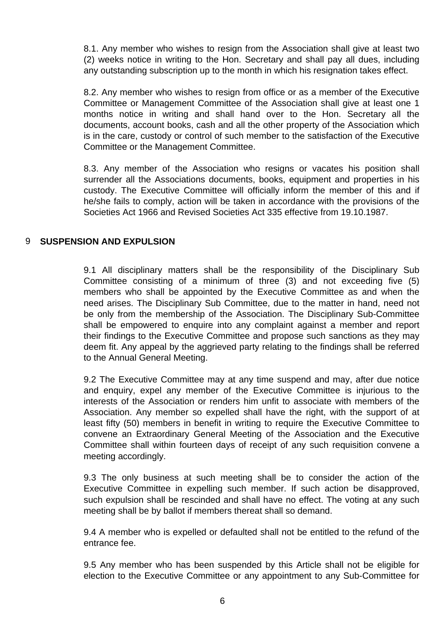8.1. Any member who wishes to resign from the Association shall give at least two (2) weeks notice in writing to the Hon. Secretary and shall pay all dues, including any outstanding subscription up to the month in which his resignation takes effect.

8.2. Any member who wishes to resign from office or as a member of the Executive Committee or Management Committee of the Association shall give at least one 1 months notice in writing and shall hand over to the Hon. Secretary all the documents, account books, cash and all the other property of the Association which is in the care, custody or control of such member to the satisfaction of the Executive Committee or the Management Committee.

8.3. Any member of the Association who resigns or vacates his position shall surrender all the Associations documents, books, equipment and properties in his custody. The Executive Committee will officially inform the member of this and if he/she fails to comply, action will be taken in accordance with the provisions of the Societies Act 1966 and Revised Societies Act 335 effective from 19.10.1987.

### 9 **SUSPENSION AND EXPULSION**

9.1 All disciplinary matters shall be the responsibility of the Disciplinary Sub Committee consisting of a minimum of three (3) and not exceeding five (5) members who shall be appointed by the Executive Committee as and when the need arises. The Disciplinary Sub Committee, due to the matter in hand, need not be only from the membership of the Association. The Disciplinary Sub-Committee shall be empowered to enquire into any complaint against a member and report their findings to the Executive Committee and propose such sanctions as they may deem fit. Any appeal by the aggrieved party relating to the findings shall be referred to the Annual General Meeting.

9.2 The Executive Committee may at any time suspend and may, after due notice and enquiry, expel any member of the Executive Committee is injurious to the interests of the Association or renders him unfit to associate with members of the Association. Any member so expelled shall have the right, with the support of at least fifty (50) members in benefit in writing to require the Executive Committee to convene an Extraordinary General Meeting of the Association and the Executive Committee shall within fourteen days of receipt of any such requisition convene a meeting accordingly.

9.3 The only business at such meeting shall be to consider the action of the Executive Committee in expelling such member. If such action be disapproved, such expulsion shall be rescinded and shall have no effect. The voting at any such meeting shall be by ballot if members thereat shall so demand.

9.4 A member who is expelled or defaulted shall not be entitled to the refund of the entrance fee.

9.5 Any member who has been suspended by this Article shall not be eligible for election to the Executive Committee or any appointment to any Sub-Committee for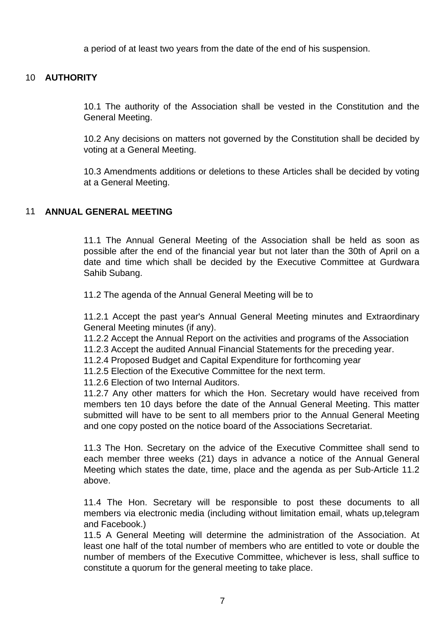a period of at least two years from the date of the end of his suspension.

### 10 **AUTHORITY**

10.1 The authority of the Association shall be vested in the Constitution and the General Meeting.

10.2 Any decisions on matters not governed by the Constitution shall be decided by voting at a General Meeting.

10.3 Amendments additions or deletions to these Articles shall be decided by voting at a General Meeting.

### 11 **ANNUAL GENERAL MEETING**

11.1 The Annual General Meeting of the Association shall be held as soon as possible after the end of the financial year but not later than the 30th of April on a date and time which shall be decided by the Executive Committee at Gurdwara Sahib Subang.

11.2 The agenda of the Annual General Meeting will be to

11.2.1 Accept the past year's Annual General Meeting minutes and Extraordinary General Meeting minutes (if any).

11.2.2 Accept the Annual Report on the activities and programs of the Association

11.2.3 Accept the audited Annual Financial Statements for the preceding year.

11.2.4 Proposed Budget and Capital Expenditure for forthcoming year

11.2.5 Election of the Executive Committee for the next term.

11.2.6 Election of two Internal Auditors.

11.2.7 Any other matters for which the Hon. Secretary would have received from members ten 10 days before the date of the Annual General Meeting. This matter submitted will have to be sent to all members prior to the Annual General Meeting and one copy posted on the notice board of the Associations Secretariat.

11.3 The Hon. Secretary on the advice of the Executive Committee shall send to each member three weeks (21) days in advance a notice of the Annual General Meeting which states the date, time, place and the agenda as per Sub-Article 11.2 above.

11.4 The Hon. Secretary will be responsible to post these documents to all members via electronic media (including without limitation email, whats up,telegram and Facebook.)

11.5 A General Meeting will determine the administration of the Association. At least one half of the total number of members who are entitled to vote or double the number of members of the Executive Committee, whichever is less, shall suffice to constitute a quorum for the general meeting to take place.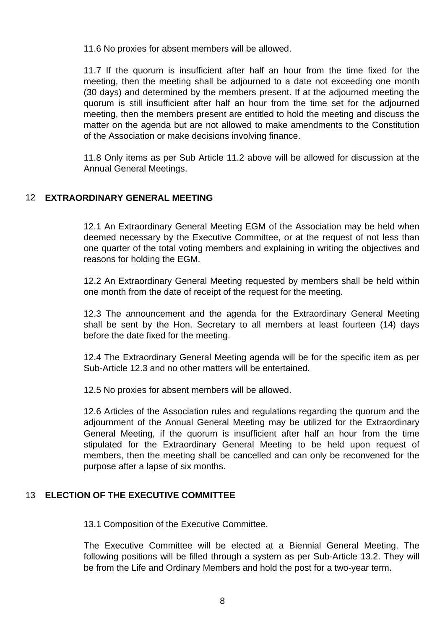11.6 No proxies for absent members will be allowed.

11.7 If the quorum is insufficient after half an hour from the time fixed for the meeting, then the meeting shall be adjourned to a date not exceeding one month (30 days) and determined by the members present. If at the adjourned meeting the quorum is still insufficient after half an hour from the time set for the adjourned meeting, then the members present are entitled to hold the meeting and discuss the matter on the agenda but are not allowed to make amendments to the Constitution of the Association or make decisions involving finance.

11.8 Only items as per Sub Article 11.2 above will be allowed for discussion at the Annual General Meetings.

# 12 **EXTRAORDINARY GENERAL MEETING**

12.1 An Extraordinary General Meeting EGM of the Association may be held when deemed necessary by the Executive Committee, or at the request of not less than one quarter of the total voting members and explaining in writing the objectives and reasons for holding the EGM.

12.2 An Extraordinary General Meeting requested by members shall be held within one month from the date of receipt of the request for the meeting.

12.3 The announcement and the agenda for the Extraordinary General Meeting shall be sent by the Hon. Secretary to all members at least fourteen (14) days before the date fixed for the meeting.

12.4 The Extraordinary General Meeting agenda will be for the specific item as per Sub-Article 12.3 and no other matters will be entertained.

12.5 No proxies for absent members will be allowed.

12.6 Articles of the Association rules and regulations regarding the quorum and the adjournment of the Annual General Meeting may be utilized for the Extraordinary General Meeting, if the quorum is insufficient after half an hour from the time stipulated for the Extraordinary General Meeting to be held upon request of members, then the meeting shall be cancelled and can only be reconvened for the purpose after a lapse of six months.

### 13 **ELECTION OF THE EXECUTIVE COMMITTEE**

13.1 Composition of the Executive Committee.

The Executive Committee will be elected at a Biennial General Meeting. The following positions will be filled through a system as per Sub-Article 13.2. They will be from the Life and Ordinary Members and hold the post for a two-year term.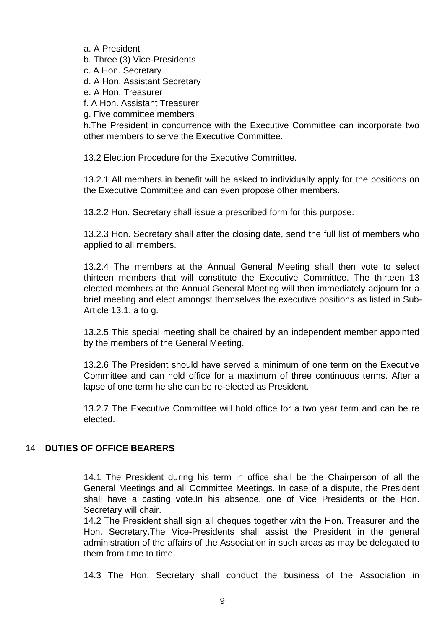a. A President

b. Three (3) Vice-Presidents

c. A Hon. Secretary

d. A Hon. Assistant Secretary

- e. A Hon. Treasurer
- f. A Hon. Assistant Treasurer
- g. Five committee members

h.The President in concurrence with the Executive Committee can incorporate two other members to serve the Executive Committee.

13.2 Election Procedure for the Executive Committee.

13.2.1 All members in benefit will be asked to individually apply for the positions on the Executive Committee and can even propose other members.

13.2.2 Hon. Secretary shall issue a prescribed form for this purpose.

13.2.3 Hon. Secretary shall after the closing date, send the full list of members who applied to all members.

13.2.4 The members at the Annual General Meeting shall then vote to select thirteen members that will constitute the Executive Committee. The thirteen 13 elected members at the Annual General Meeting will then immediately adjourn for a brief meeting and elect amongst themselves the executive positions as listed in Sub-Article 13.1. a to g.

13.2.5 This special meeting shall be chaired by an independent member appointed by the members of the General Meeting.

13.2.6 The President should have served a minimum of one term on the Executive Committee and can hold office for a maximum of three continuous terms. After a lapse of one term he she can be re-elected as President.

13.2.7 The Executive Committee will hold office for a two year term and can be re elected.

### 14 **DUTIES OF OFFICE BEARERS**

14.1 The President during his term in office shall be the Chairperson of all the General Meetings and all Committee Meetings. In case of a dispute, the President shall have a casting vote.In his absence, one of Vice Presidents or the Hon. Secretary will chair.

14.2 The President shall sign all cheques together with the Hon. Treasurer and the Hon. Secretary.The Vice-Presidents shall assist the President in the general administration of the affairs of the Association in such areas as may be delegated to them from time to time.

14.3 The Hon. Secretary shall conduct the business of the Association in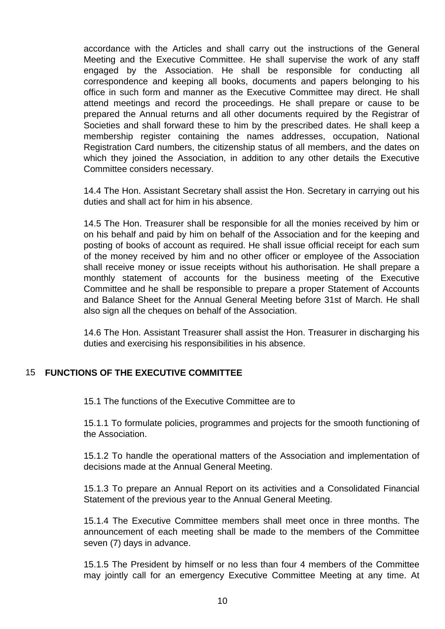accordance with the Articles and shall carry out the instructions of the General Meeting and the Executive Committee. He shall supervise the work of any staff engaged by the Association. He shall be responsible for conducting all correspondence and keeping all books, documents and papers belonging to his office in such form and manner as the Executive Committee may direct. He shall attend meetings and record the proceedings. He shall prepare or cause to be prepared the Annual returns and all other documents required by the Registrar of Societies and shall forward these to him by the prescribed dates. He shall keep a membership register containing the names addresses, occupation, National Registration Card numbers, the citizenship status of all members, and the dates on which they joined the Association, in addition to any other details the Executive Committee considers necessary.

14.4 The Hon. Assistant Secretary shall assist the Hon. Secretary in carrying out his duties and shall act for him in his absence.

14.5 The Hon. Treasurer shall be responsible for all the monies received by him or on his behalf and paid by him on behalf of the Association and for the keeping and posting of books of account as required. He shall issue official receipt for each sum of the money received by him and no other officer or employee of the Association shall receive money or issue receipts without his authorisation. He shall prepare a monthly statement of accounts for the business meeting of the Executive Committee and he shall be responsible to prepare a proper Statement of Accounts and Balance Sheet for the Annual General Meeting before 31st of March. He shall also sign all the cheques on behalf of the Association.

14.6 The Hon. Assistant Treasurer shall assist the Hon. Treasurer in discharging his duties and exercising his responsibilities in his absence.

# 15 **FUNCTIONS OF THE EXECUTIVE COMMITTEE**

15.1 The functions of the Executive Committee are to

15.1.1 To formulate policies, programmes and projects for the smooth functioning of the Association.

15.1.2 To handle the operational matters of the Association and implementation of decisions made at the Annual General Meeting.

15.1.3 To prepare an Annual Report on its activities and a Consolidated Financial Statement of the previous year to the Annual General Meeting.

15.1.4 The Executive Committee members shall meet once in three months. The announcement of each meeting shall be made to the members of the Committee seven (7) days in advance.

15.1.5 The President by himself or no less than four 4 members of the Committee may jointly call for an emergency Executive Committee Meeting at any time. At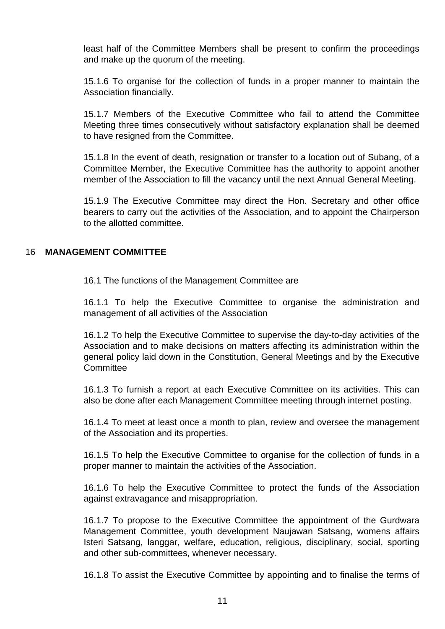least half of the Committee Members shall be present to confirm the proceedings and make up the quorum of the meeting.

15.1.6 To organise for the collection of funds in a proper manner to maintain the Association financially.

15.1.7 Members of the Executive Committee who fail to attend the Committee Meeting three times consecutively without satisfactory explanation shall be deemed to have resigned from the Committee.

15.1.8 In the event of death, resignation or transfer to a location out of Subang, of a Committee Member, the Executive Committee has the authority to appoint another member of the Association to fill the vacancy until the next Annual General Meeting.

15.1.9 The Executive Committee may direct the Hon. Secretary and other office bearers to carry out the activities of the Association, and to appoint the Chairperson to the allotted committee.

# 16 **MANAGEMENT COMMITTEE**

16.1 The functions of the Management Committee are

16.1.1 To help the Executive Committee to organise the administration and management of all activities of the Association

16.1.2 To help the Executive Committee to supervise the day-to-day activities of the Association and to make decisions on matters affecting its administration within the general policy laid down in the Constitution, General Meetings and by the Executive Committee

16.1.3 To furnish a report at each Executive Committee on its activities. This can also be done after each Management Committee meeting through internet posting.

16.1.4 To meet at least once a month to plan, review and oversee the management of the Association and its properties.

16.1.5 To help the Executive Committee to organise for the collection of funds in a proper manner to maintain the activities of the Association.

16.1.6 To help the Executive Committee to protect the funds of the Association against extravagance and misappropriation.

16.1.7 To propose to the Executive Committee the appointment of the Gurdwara Management Committee, youth development Naujawan Satsang, womens affairs Isteri Satsang, langgar, welfare, education, religious, disciplinary, social, sporting and other sub-committees, whenever necessary.

16.1.8 To assist the Executive Committee by appointing and to finalise the terms of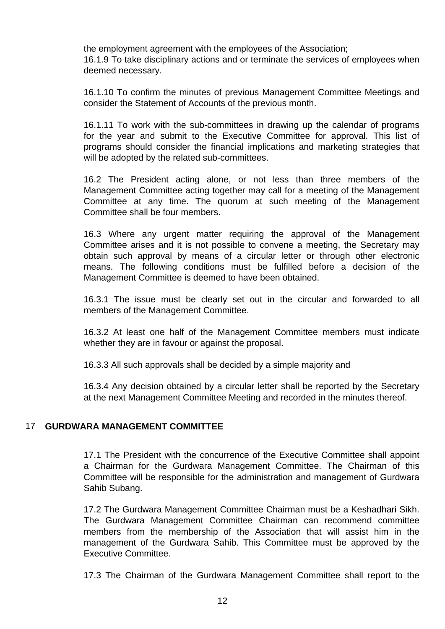the employment agreement with the employees of the Association;

16.1.9 To take disciplinary actions and or terminate the services of employees when deemed necessary.

16.1.10 To confirm the minutes of previous Management Committee Meetings and consider the Statement of Accounts of the previous month.

16.1.11 To work with the sub-committees in drawing up the calendar of programs for the year and submit to the Executive Committee for approval. This list of programs should consider the financial implications and marketing strategies that will be adopted by the related sub-committees.

16.2 The President acting alone, or not less than three members of the Management Committee acting together may call for a meeting of the Management Committee at any time. The quorum at such meeting of the Management Committee shall be four members.

16.3 Where any urgent matter requiring the approval of the Management Committee arises and it is not possible to convene a meeting, the Secretary may obtain such approval by means of a circular letter or through other electronic means. The following conditions must be fulfilled before a decision of the Management Committee is deemed to have been obtained.

16.3.1 The issue must be clearly set out in the circular and forwarded to all members of the Management Committee.

16.3.2 At least one half of the Management Committee members must indicate whether they are in favour or against the proposal.

16.3.3 All such approvals shall be decided by a simple majority and

16.3.4 Any decision obtained by a circular letter shall be reported by the Secretary at the next Management Committee Meeting and recorded in the minutes thereof.

### 17 **GURDWARA MANAGEMENT COMMITTEE**

17.1 The President with the concurrence of the Executive Committee shall appoint a Chairman for the Gurdwara Management Committee. The Chairman of this Committee will be responsible for the administration and management of Gurdwara Sahib Subang.

17.2 The Gurdwara Management Committee Chairman must be a Keshadhari Sikh. The Gurdwara Management Committee Chairman can recommend committee members from the membership of the Association that will assist him in the management of the Gurdwara Sahib. This Committee must be approved by the Executive Committee.

17.3 The Chairman of the Gurdwara Management Committee shall report to the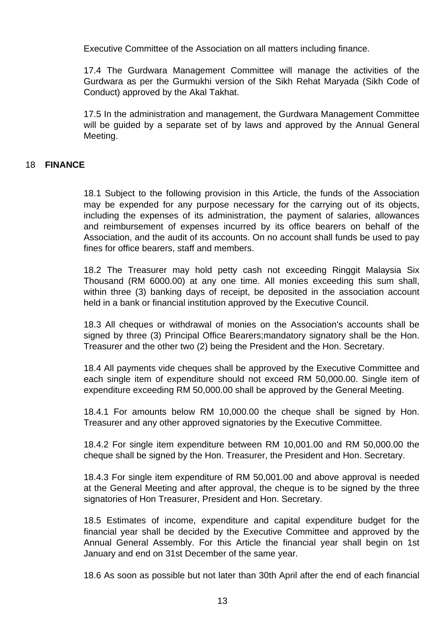Executive Committee of the Association on all matters including finance.

17.4 The Gurdwara Management Committee will manage the activities of the Gurdwara as per the Gurmukhi version of the Sikh Rehat Maryada (Sikh Code of Conduct) approved by the Akal Takhat.

17.5 In the administration and management, the Gurdwara Management Committee will be guided by a separate set of by laws and approved by the Annual General Meeting.

### 18 **FINANCE**

18.1 Subject to the following provision in this Article, the funds of the Association may be expended for any purpose necessary for the carrying out of its objects, including the expenses of its administration, the payment of salaries, allowances and reimbursement of expenses incurred by its office bearers on behalf of the Association, and the audit of its accounts. On no account shall funds be used to pay fines for office bearers, staff and members.

18.2 The Treasurer may hold petty cash not exceeding Ringgit Malaysia Six Thousand (RM 6000.00) at any one time. All monies exceeding this sum shall, within three (3) banking days of receipt, be deposited in the association account held in a bank or financial institution approved by the Executive Council.

18.3 All cheques or withdrawal of monies on the Association's accounts shall be signed by three (3) Principal Office Bearers;mandatory signatory shall be the Hon. Treasurer and the other two (2) being the President and the Hon. Secretary.

18.4 All payments vide cheques shall be approved by the Executive Committee and each single item of expenditure should not exceed RM 50,000.00. Single item of expenditure exceeding RM 50,000.00 shall be approved by the General Meeting.

18.4.1 For amounts below RM 10,000.00 the cheque shall be signed by Hon. Treasurer and any other approved signatories by the Executive Committee.

18.4.2 For single item expenditure between RM 10,001.00 and RM 50,000.00 the cheque shall be signed by the Hon. Treasurer, the President and Hon. Secretary.

18.4.3 For single item expenditure of RM 50,001.00 and above approval is needed at the General Meeting and after approval, the cheque is to be signed by the three signatories of Hon Treasurer, President and Hon. Secretary.

18.5 Estimates of income, expenditure and capital expenditure budget for the financial year shall be decided by the Executive Committee and approved by the Annual General Assembly. For this Article the financial year shall begin on 1st January and end on 31st December of the same year.

18.6 As soon as possible but not later than 30th April after the end of each financial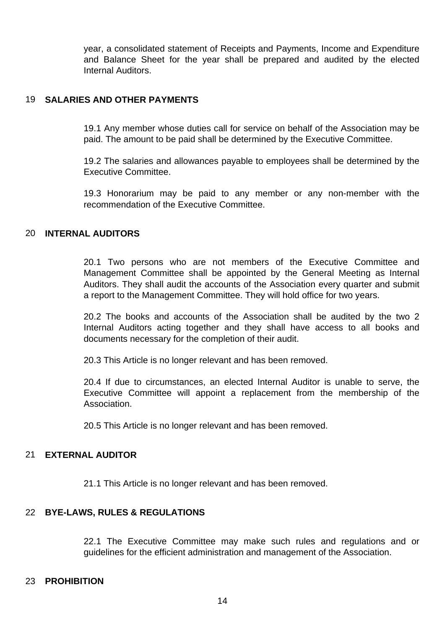year, a consolidated statement of Receipts and Payments, Income and Expenditure and Balance Sheet for the year shall be prepared and audited by the elected Internal Auditors.

#### 19 **SALARIES AND OTHER PAYMENTS**

19.1 Any member whose duties call for service on behalf of the Association may be paid. The amount to be paid shall be determined by the Executive Committee.

19.2 The salaries and allowances payable to employees shall be determined by the Executive Committee.

19.3 Honorarium may be paid to any member or any non-member with the recommendation of the Executive Committee.

#### 20 **INTERNAL AUDITORS**

20.1 Two persons who are not members of the Executive Committee and Management Committee shall be appointed by the General Meeting as Internal Auditors. They shall audit the accounts of the Association every quarter and submit a report to the Management Committee. They will hold office for two years.

20.2 The books and accounts of the Association shall be audited by the two 2 Internal Auditors acting together and they shall have access to all books and documents necessary for the completion of their audit.

20.3 This Article is no longer relevant and has been removed.

20.4 If due to circumstances, an elected Internal Auditor is unable to serve, the Executive Committee will appoint a replacement from the membership of the Association.

20.5 This Article is no longer relevant and has been removed.

#### 21 **EXTERNAL AUDITOR**

21.1 This Article is no longer relevant and has been removed.

### 22 **BYE-LAWS, RULES & REGULATIONS**

22.1 The Executive Committee may make such rules and regulations and or guidelines for the efficient administration and management of the Association.

#### 23 **PROHIBITION**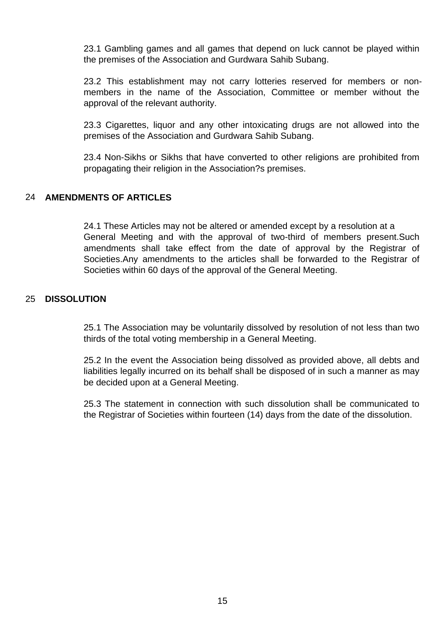23.1 Gambling games and all games that depend on luck cannot be played within the premises of the Association and Gurdwara Sahib Subang.

23.2 This establishment may not carry lotteries reserved for members or nonmembers in the name of the Association, Committee or member without the approval of the relevant authority.

23.3 Cigarettes, liquor and any other intoxicating drugs are not allowed into the premises of the Association and Gurdwara Sahib Subang.

23.4 Non-Sikhs or Sikhs that have converted to other religions are prohibited from propagating their religion in the Association?s premises.

### 24 AMENDMENTS OF ARTICLES

24.1 These Articles may not be altered or amended except by a resolution at a General Meeting and with the approval of two-third of members present.Such amendments shall take effect from the date of approval by the Registrar of Societies.Any amendments to the articles shall be forwarded to the Registrar of Societies within 60 days of the approval of the General Meeting.

### 25 **DISSOLUTION**

25.1 The Association may be voluntarily dissolved by resolution of not less than two thirds of the total voting membership in a General Meeting.

25.2 In the event the Association being dissolved as provided above, all debts and liabilities legally incurred on its behalf shall be disposed of in such a manner as may be decided upon at a General Meeting.

25.3 The statement in connection with such dissolution shall be communicated to the Registrar of Societies within fourteen (14) days from the date of the dissolution.